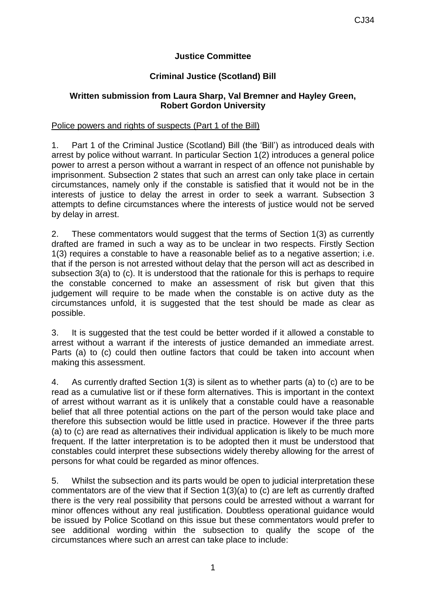# **Justice Committee**

# **Criminal Justice (Scotland) Bill**

## **Written submission from Laura Sharp, Val Bremner and Hayley Green, Robert Gordon University**

### Police powers and rights of suspects (Part 1 of the Bill)

1. Part 1 of the Criminal Justice (Scotland) Bill (the 'Bill') as introduced deals with arrest by police without warrant. In particular Section 1(2) introduces a general police power to arrest a person without a warrant in respect of an offence not punishable by imprisonment. Subsection 2 states that such an arrest can only take place in certain circumstances, namely only if the constable is satisfied that it would not be in the interests of justice to delay the arrest in order to seek a warrant. Subsection 3 attempts to define circumstances where the interests of justice would not be served by delay in arrest.

2. These commentators would suggest that the terms of Section 1(3) as currently drafted are framed in such a way as to be unclear in two respects. Firstly Section 1(3) requires a constable to have a reasonable belief as to a negative assertion; i.e. that if the person is not arrested without delay that the person will act as described in subsection 3(a) to (c). It is understood that the rationale for this is perhaps to require the constable concerned to make an assessment of risk but given that this judgement will require to be made when the constable is on active duty as the circumstances unfold, it is suggested that the test should be made as clear as possible.

3. It is suggested that the test could be better worded if it allowed a constable to arrest without a warrant if the interests of justice demanded an immediate arrest. Parts (a) to (c) could then outline factors that could be taken into account when making this assessment.

4. As currently drafted Section 1(3) is silent as to whether parts (a) to (c) are to be read as a cumulative list or if these form alternatives. This is important in the context of arrest without warrant as it is unlikely that a constable could have a reasonable belief that all three potential actions on the part of the person would take place and therefore this subsection would be little used in practice. However if the three parts (a) to (c) are read as alternatives their individual application is likely to be much more frequent. If the latter interpretation is to be adopted then it must be understood that constables could interpret these subsections widely thereby allowing for the arrest of persons for what could be regarded as minor offences.

5. Whilst the subsection and its parts would be open to judicial interpretation these commentators are of the view that if Section 1(3)(a) to (c) are left as currently drafted there is the very real possibility that persons could be arrested without a warrant for minor offences without any real justification. Doubtless operational guidance would be issued by Police Scotland on this issue but these commentators would prefer to see additional wording within the subsection to qualify the scope of the circumstances where such an arrest can take place to include: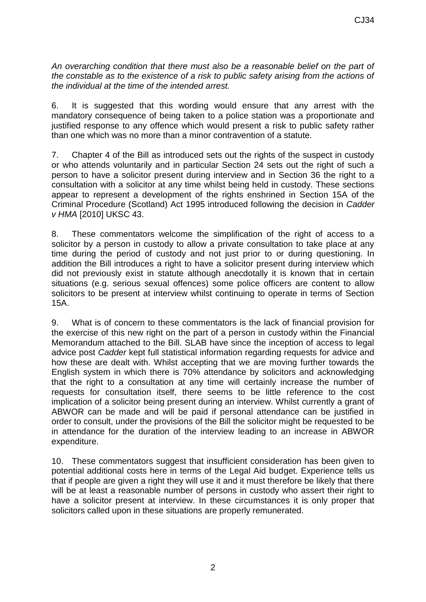*An overarching condition that there must also be a reasonable belief on the part of the constable as to the existence of a risk to public safety arising from the actions of the individual at the time of the intended arrest.*

6. It is suggested that this wording would ensure that any arrest with the mandatory consequence of being taken to a police station was a proportionate and justified response to any offence which would present a risk to public safety rather than one which was no more than a minor contravention of a statute.

7. Chapter 4 of the Bill as introduced sets out the rights of the suspect in custody or who attends voluntarily and in particular Section 24 sets out the right of such a person to have a solicitor present during interview and in Section 36 the right to a consultation with a solicitor at any time whilst being held in custody. These sections appear to represent a development of the rights enshrined in Section 15A of the Criminal Procedure (Scotland) Act 1995 introduced following the decision in *Cadder v HMA* [2010] UKSC 43.

8. These commentators welcome the simplification of the right of access to a solicitor by a person in custody to allow a private consultation to take place at any time during the period of custody and not just prior to or during questioning. In addition the Bill introduces a right to have a solicitor present during interview which did not previously exist in statute although anecdotally it is known that in certain situations (e.g. serious sexual offences) some police officers are content to allow solicitors to be present at interview whilst continuing to operate in terms of Section 15A.

9. What is of concern to these commentators is the lack of financial provision for the exercise of this new right on the part of a person in custody within the Financial Memorandum attached to the Bill. SLAB have since the inception of access to legal advice post *Cadder* kept full statistical information regarding requests for advice and how these are dealt with. Whilst accepting that we are moving further towards the English system in which there is 70% attendance by solicitors and acknowledging that the right to a consultation at any time will certainly increase the number of requests for consultation itself, there seems to be little reference to the cost implication of a solicitor being present during an interview. Whilst currently a grant of ABWOR can be made and will be paid if personal attendance can be justified in order to consult, under the provisions of the Bill the solicitor might be requested to be in attendance for the duration of the interview leading to an increase in ABWOR expenditure.

10. These commentators suggest that insufficient consideration has been given to potential additional costs here in terms of the Legal Aid budget. Experience tells us that if people are given a right they will use it and it must therefore be likely that there will be at least a reasonable number of persons in custody who assert their right to have a solicitor present at interview. In these circumstances it is only proper that solicitors called upon in these situations are properly remunerated.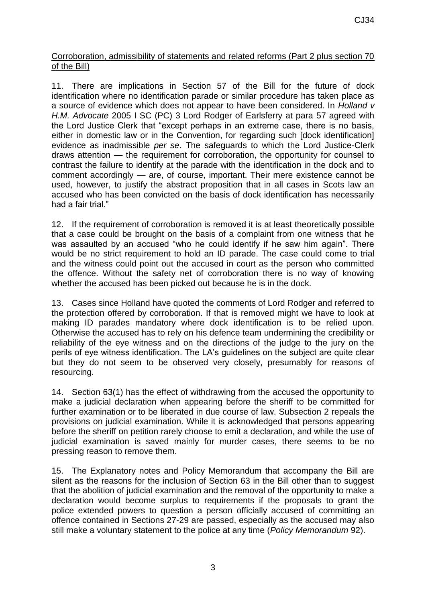## Corroboration, admissibility of statements and related reforms (Part 2 plus section 70 of the Bill)

11. There are implications in Section 57 of the Bill for the future of dock identification where no identification parade or similar procedure has taken place as a source of evidence which does not appear to have been considered. In *Holland v H.M. Advocate* 2005 I SC (PC) 3 Lord Rodger of Earlsferry at para 57 agreed with the Lord Justice Clerk that "except perhaps in an extreme case, there is no basis, either in domestic law or in the Convention, for regarding such [dock identification] evidence as inadmissible *per se*. The safeguards to which the Lord Justice-Clerk draws attention — the requirement for corroboration, the opportunity for counsel to contrast the failure to identify at the parade with the identification in the dock and to comment accordingly — are, of course, important. Their mere existence cannot be used, however, to justify the abstract proposition that in all cases in Scots law an accused who has been convicted on the basis of dock identification has necessarily had a fair trial."

12. If the requirement of corroboration is removed it is at least theoretically possible that a case could be brought on the basis of a complaint from one witness that he was assaulted by an accused "who he could identify if he saw him again". There would be no strict requirement to hold an ID parade. The case could come to trial and the witness could point out the accused in court as the person who committed the offence. Without the safety net of corroboration there is no way of knowing whether the accused has been picked out because he is in the dock.

13. Cases since Holland have quoted the comments of Lord Rodger and referred to the protection offered by corroboration. If that is removed might we have to look at making ID parades mandatory where dock identification is to be relied upon. Otherwise the accused has to rely on his defence team undermining the credibility or reliability of the eye witness and on the directions of the judge to the jury on the perils of eye witness identification. The LA's guidelines on the subject are quite clear but they do not seem to be observed very closely, presumably for reasons of resourcing.

14. Section 63(1) has the effect of withdrawing from the accused the opportunity to make a judicial declaration when appearing before the sheriff to be committed for further examination or to be liberated in due course of law. Subsection 2 repeals the provisions on judicial examination. While it is acknowledged that persons appearing before the sheriff on petition rarely choose to emit a declaration, and while the use of judicial examination is saved mainly for murder cases, there seems to be no pressing reason to remove them.

15. The Explanatory notes and Policy Memorandum that accompany the Bill are silent as the reasons for the inclusion of Section 63 in the Bill other than to suggest that the abolition of judicial examination and the removal of the opportunity to make a declaration would become surplus to requirements if the proposals to grant the police extended powers to question a person officially accused of committing an offence contained in Sections 27-29 are passed, especially as the accused may also still make a voluntary statement to the police at any time (*Policy Memorandum* 92).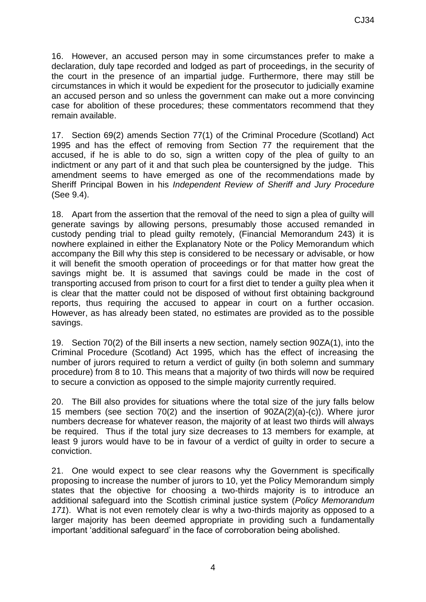16. However, an accused person may in some circumstances prefer to make a declaration, duly tape recorded and lodged as part of proceedings, in the security of the court in the presence of an impartial judge. Furthermore, there may still be circumstances in which it would be expedient for the prosecutor to judicially examine an accused person and so unless the government can make out a more convincing case for abolition of these procedures; these commentators recommend that they remain available.

17. Section 69(2) amends Section 77(1) of the Criminal Procedure (Scotland) Act 1995 and has the effect of removing from Section 77 the requirement that the accused, if he is able to do so, sign a written copy of the plea of guilty to an indictment or any part of it and that such plea be countersigned by the judge. This amendment seems to have emerged as one of the recommendations made by Sheriff Principal Bowen in his *Independent Review of Sheriff and Jury Procedure* (See 9.4).

18. Apart from the assertion that the removal of the need to sign a plea of guilty will generate savings by allowing persons, presumably those accused remanded in custody pending trial to plead guilty remotely, (Financial Memorandum 243) it is nowhere explained in either the Explanatory Note or the Policy Memorandum which accompany the Bill why this step is considered to be necessary or advisable, or how it will benefit the smooth operation of proceedings or for that matter how great the savings might be. It is assumed that savings could be made in the cost of transporting accused from prison to court for a first diet to tender a guilty plea when it is clear that the matter could not be disposed of without first obtaining background reports, thus requiring the accused to appear in court on a further occasion. However, as has already been stated, no estimates are provided as to the possible savings.

19. Section 70(2) of the Bill inserts a new section, namely section 90ZA(1), into the Criminal Procedure (Scotland) Act 1995, which has the effect of increasing the number of jurors required to return a verdict of guilty (in both solemn and summary procedure) from 8 to 10. This means that a majority of two thirds will now be required to secure a conviction as opposed to the simple majority currently required.

20. The Bill also provides for situations where the total size of the jury falls below 15 members (see section 70(2) and the insertion of 90ZA(2)(a)-(c)). Where juror numbers decrease for whatever reason, the majority of at least two thirds will always be required. Thus if the total jury size decreases to 13 members for example, at least 9 jurors would have to be in favour of a verdict of guilty in order to secure a conviction.

21. One would expect to see clear reasons why the Government is specifically proposing to increase the number of jurors to 10, yet the Policy Memorandum simply states that the objective for choosing a two-thirds majority is to introduce an additional safeguard into the Scottish criminal justice system (*Policy Memorandum 171*). What is not even remotely clear is why a two-thirds majority as opposed to a larger majority has been deemed appropriate in providing such a fundamentally important 'additional safeguard' in the face of corroboration being abolished.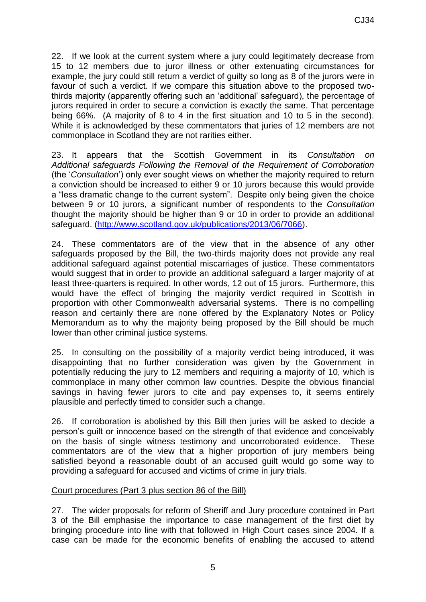22. If we look at the current system where a jury could legitimately decrease from 15 to 12 members due to juror illness or other extenuating circumstances for example, the jury could still return a verdict of guilty so long as 8 of the jurors were in favour of such a verdict. If we compare this situation above to the proposed twothirds majority (apparently offering such an 'additional' safeguard), the percentage of jurors required in order to secure a conviction is exactly the same. That percentage being 66%. (A majority of 8 to 4 in the first situation and 10 to 5 in the second). While it is acknowledged by these commentators that juries of 12 members are not commonplace in Scotland they are not rarities either.

23. It appears that the Scottish Government in its *Consultation on Additional safeguards Following the Removal of the Requirement of Corroboration* (the '*Consultation*') only ever sought views on whether the majority required to return a conviction should be increased to either 9 or 10 jurors because this would provide a "less dramatic change to the current system". Despite only being given the choice between 9 or 10 jurors, a significant number of respondents to the *Consultation* thought the majority should be higher than 9 or 10 in order to provide an additional safeguard. [\(http://www.scotland.gov.uk/publications/2013/06/7066\)](http://www.scotland.gov.uk/publications/2013/06/7066).

24. These commentators are of the view that in the absence of any other safeguards proposed by the Bill, the two-thirds majority does not provide any real additional safeguard against potential miscarriages of justice. These commentators would suggest that in order to provide an additional safeguard a larger majority of at least three-quarters is required. In other words, 12 out of 15 jurors. Furthermore, this would have the effect of bringing the majority verdict required in Scottish in proportion with other Commonwealth adversarial systems. There is no compelling reason and certainly there are none offered by the Explanatory Notes or Policy Memorandum as to why the majority being proposed by the Bill should be much lower than other criminal justice systems.

25. In consulting on the possibility of a majority verdict being introduced, it was disappointing that no further consideration was given by the Government in potentially reducing the jury to 12 members and requiring a majority of 10, which is commonplace in many other common law countries. Despite the obvious financial savings in having fewer jurors to cite and pay expenses to, it seems entirely plausible and perfectly timed to consider such a change.

26. If corroboration is abolished by this Bill then juries will be asked to decide a person's guilt or innocence based on the strength of that evidence and conceivably on the basis of single witness testimony and uncorroborated evidence. These commentators are of the view that a higher proportion of jury members being satisfied beyond a reasonable doubt of an accused guilt would go some way to providing a safeguard for accused and victims of crime in jury trials.

## Court procedures (Part 3 plus section 86 of the Bill)

27. The wider proposals for reform of Sheriff and Jury procedure contained in Part 3 of the Bill emphasise the importance to case management of the first diet by bringing procedure into line with that followed in High Court cases since 2004. If a case can be made for the economic benefits of enabling the accused to attend